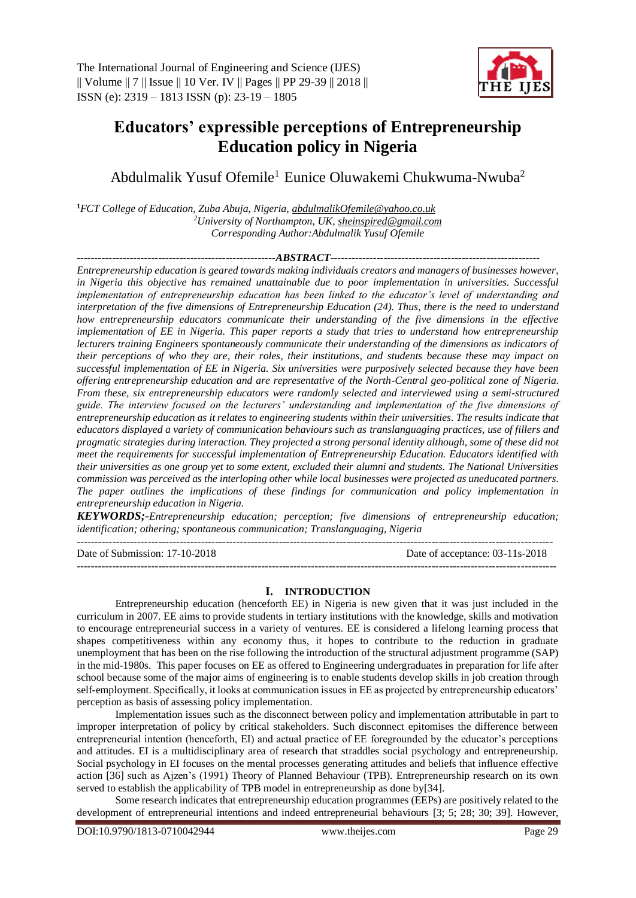

# **Educators' expressible perceptions of Entrepreneurship Education policy in Nigeria**

Abdulmalik Yusuf Ofemile<sup>1</sup> Eunice Oluwakemi Chukwuma-Nwuba<sup>2</sup>

**<sup>1</sup>***FCT College of Education, Zuba Abuja, Nigeria, [abdulmalikOfemile@yahoo.co.uk](mailto:abdulmalikOfemile@yahoo.co.uk) <sup>2</sup>University of Northampton, UK[, sheinspired@gmail.com](mailto:sheinspired@gmail.com) Corresponding Author:Abdulmalik Yusuf Ofemile*

*--------------------------------------------------------ABSTRACT-----------------------------------------------------------*

*Entrepreneurship education is geared towards making individuals creators and managers of businesses however, in Nigeria this objective has remained unattainable due to poor implementation in universities. Successful implementation of entrepreneurship education has been linked to the educator's level of understanding and interpretation of the five dimensions of Entrepreneurship Education (24). Thus, there is the need to understand how entrepreneurship educators communicate their understanding of the five dimensions in the effective implementation of EE in Nigeria. This paper reports a study that tries to understand how entrepreneurship lecturers training Engineers spontaneously communicate their understanding of the dimensions as indicators of their perceptions of who they are, their roles, their institutions, and students because these may impact on successful implementation of EE in Nigeria. Six universities were purposively selected because they have been offering entrepreneurship education and are representative of the North-Central geo-political zone of Nigeria. From these, six entrepreneurship educators were randomly selected and interviewed using a semi-structured guide. The interview focused on the lecturers' understanding and implementation of the five dimensions of entrepreneurship education as it relates to engineering students within their universities. The results indicate that educators displayed a variety of communication behaviours such as translanguaging practices, use of fillers and pragmatic strategies during interaction. They projected a strong personal identity although, some of these did not meet the requirements for successful implementation of Entrepreneurship Education. Educators identified with their universities as one group yet to some extent, excluded their alumni and students. The National Universities commission was perceived as the interloping other while local businesses were projected as uneducated partners. The paper outlines the implications of these findings for communication and policy implementation in entrepreneurship education in Nigeria.*

*KEYWORDS;-Entrepreneurship education; perception; five dimensions of entrepreneurship education; identification; othering; spontaneous communication; Translanguaging, Nigeria*

--------------------------------------------------------------------------------------------------------------------------------------

Date of Submission: 17-10-2018 Date of acceptance: 03-11s-2018 ---------------------------------------------------------------------------------------------------------------------------------------

#### **I. INTRODUCTION**

Entrepreneurship education (henceforth EE) in Nigeria is new given that it was just included in the curriculum in 2007. EE aims to provide students in tertiary institutions with the knowledge, skills and motivation to encourage entrepreneurial success in a variety of ventures. EE is considered a lifelong learning process that shapes competitiveness within any economy thus, it hopes to contribute to the reduction in graduate unemployment that has been on the rise following the introduction of the structural adjustment programme (SAP) in the mid-1980s. This paper focuses on EE as offered to Engineering undergraduates in preparation for life after school because some of the major aims of engineering is to enable students develop skills in job creation through self-employment. Specifically, it looks at communication issues in EE as projected by entrepreneurship educators' perception as basis of assessing policy implementation.

Implementation issues such as the disconnect between policy and implementation attributable in part to improper interpretation of policy by critical stakeholders. Such disconnect epitomises the difference between entrepreneurial intention (henceforth, EI) and actual practice of EE foregrounded by the educator's perceptions and attitudes. EI is a multidisciplinary area of research that straddles social psychology and entrepreneurship. Social psychology in EI focuses on the mental processes generating attitudes and beliefs that influence effective action [36] such as Ajzen's (1991) Theory of Planned Behaviour (TPB). Entrepreneurship research on its own served to establish the applicability of TPB model in entrepreneurship as done by[34].

Some research indicates that entrepreneurship education programmes (EEPs) are positively related to the development of entrepreneurial intentions and indeed entrepreneurial behaviours [3; 5; 28; 30; 39]. However,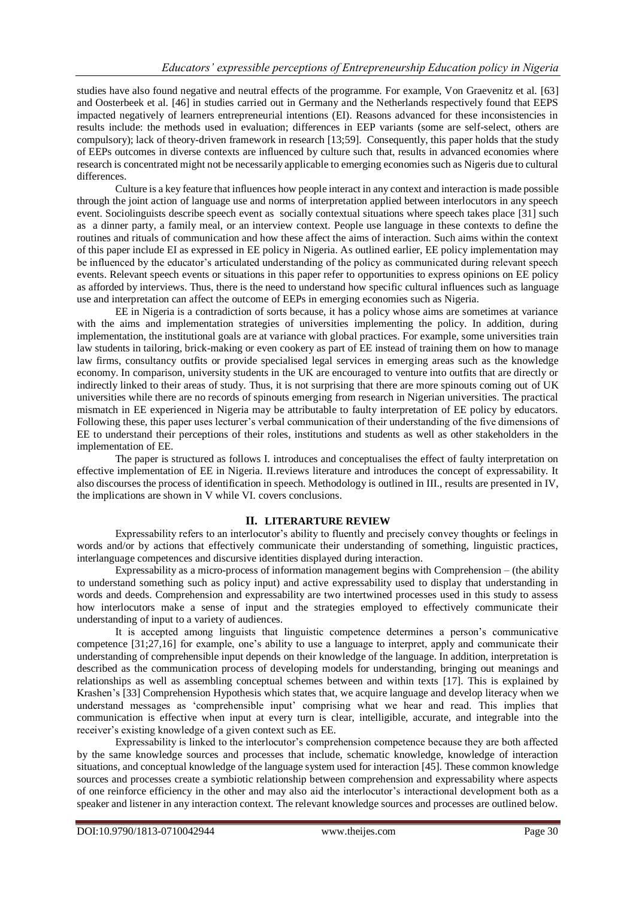studies have also found negative and neutral effects of the programme. For example, Von Graevenitz et al. [63] and Oosterbeek et al. [46] in studies carried out in Germany and the Netherlands respectively found that EEPS impacted negatively of learners entrepreneurial intentions (EI). Reasons advanced for these inconsistencies in results include: the methods used in evaluation; differences in EEP variants (some are self-select, others are compulsory); lack of theory-driven framework in research [13;59]. Consequently, this paper holds that the study of EEPs outcomes in diverse contexts are influenced by culture such that, results in advanced economies where research is concentrated might not be necessarily applicable to emerging economies such as Nigeris due to cultural differences.

Culture is a key feature that influences how people interact in any context and interaction is made possible through the joint action of language use and norms of interpretation applied between interlocutors in any speech event. Sociolinguists describe speech event as socially contextual situations where speech takes place [31] such as a dinner party, a family meal, or an interview context. People use language in these contexts to define the routines and rituals of communication and how these affect the aims of interaction. Such aims within the context of this paper include EI as expressed in EE policy in Nigeria. As outlined earlier, EE policy implementation may be influenced by the educator's articulated understanding of the policy as communicated during relevant speech events. Relevant speech events or situations in this paper refer to opportunities to express opinions on EE policy as afforded by interviews. Thus, there is the need to understand how specific cultural influences such as language use and interpretation can affect the outcome of EEPs in emerging economies such as Nigeria.

EE in Nigeria is a contradiction of sorts because, it has a policy whose aims are sometimes at variance with the aims and implementation strategies of universities implementing the policy. In addition, during implementation, the institutional goals are at variance with global practices. For example, some universities train law students in tailoring, brick-making or even cookery as part of EE instead of training them on how to manage law firms, consultancy outfits or provide specialised legal services in emerging areas such as the knowledge economy. In comparison, university students in the UK are encouraged to venture into outfits that are directly or indirectly linked to their areas of study. Thus, it is not surprising that there are more spinouts coming out of UK universities while there are no records of spinouts emerging from research in Nigerian universities. The practical mismatch in EE experienced in Nigeria may be attributable to faulty interpretation of EE policy by educators. Following these, this paper uses lecturer's verbal communication of their understanding of the five dimensions of EE to understand their perceptions of their roles, institutions and students as well as other stakeholders in the implementation of EE.

The paper is structured as follows I. introduces and conceptualises the effect of faulty interpretation on effective implementation of EE in Nigeria. II.reviews literature and introduces the concept of expressability. It also discourses the process of identification in speech. Methodology is outlined in III., results are presented in IV, the implications are shown in V while VI. covers conclusions.

# **II. LITERARTURE REVIEW**

Expressability refers to an interlocutor's ability to fluently and precisely convey thoughts or feelings in words and/or by actions that effectively communicate their understanding of something, linguistic practices, interlanguage competences and discursive identities displayed during interaction.

Expressability as a micro-process of information management begins with Comprehension – (the ability to understand something such as policy input) and active expressability used to display that understanding in words and deeds. Comprehension and expressability are two intertwined processes used in this study to assess how interlocutors make a sense of input and the strategies employed to effectively communicate their understanding of input to a variety of audiences.

It is accepted among linguists that linguistic competence determines a person's communicative competence [31;27,16] for example, one's ability to use a language to interpret, apply and communicate their understanding of comprehensible input depends on their knowledge of the language. In addition, interpretation is described as the communication process of developing models for understanding, bringing out meanings and relationships as well as assembling conceptual schemes between and within texts [17]. This is explained by Krashen's [33] Comprehension Hypothesis which states that, we acquire language and develop literacy when we understand messages as 'comprehensible input' comprising what we hear and read. This implies that communication is effective when input at every turn is clear, intelligible, accurate, and integrable into the receiver's existing knowledge of a given context such as EE.

Expressability is linked to the interlocutor's comprehension competence because they are both affected by the same knowledge sources and processes that include, schematic knowledge, knowledge of interaction situations, and conceptual knowledge of the language system used for interaction [45]. These common knowledge sources and processes create a symbiotic relationship between comprehension and expressability where aspects of one reinforce efficiency in the other and may also aid the interlocutor's interactional development both as a speaker and listener in any interaction context. The relevant knowledge sources and processes are outlined below.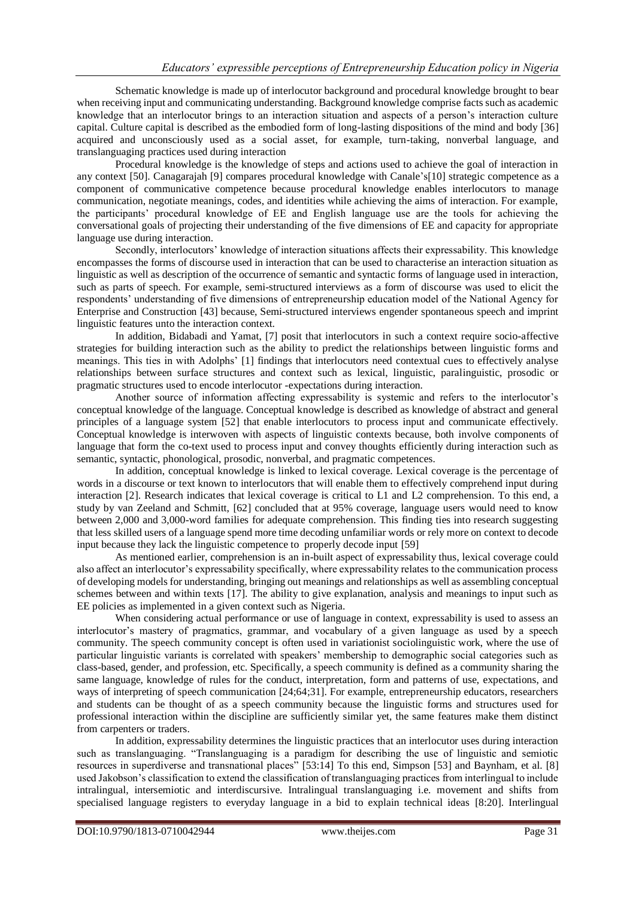Schematic knowledge is made up of interlocutor background and procedural knowledge brought to bear when receiving input and communicating understanding. Background knowledge comprise facts such as academic knowledge that an interlocutor brings to an interaction situation and aspects of a person's interaction culture capital. Culture capital is described as the embodied form of long-lasting dispositions of the mind and body [36] acquired and unconsciously used as a social asset, for example, turn-taking, nonverbal language, and translanguaging practices used during interaction

Procedural knowledge is the knowledge of steps and actions used to achieve the goal of interaction in any context [50]. Canagarajah [9] compares procedural knowledge with Canale's[10] strategic competence as a component of communicative competence because procedural knowledge enables interlocutors to manage communication, negotiate meanings, codes, and identities while achieving the aims of interaction. For example, the participants' procedural knowledge of EE and English language use are the tools for achieving the conversational goals of projecting their understanding of the five dimensions of EE and capacity for appropriate language use during interaction.

Secondly, interlocutors' knowledge of interaction situations affects their expressability. This knowledge encompasses the forms of discourse used in interaction that can be used to characterise an interaction situation as linguistic as well as description of the occurrence of semantic and syntactic forms of language used in interaction, such as parts of speech. For example, semi-structured interviews as a form of discourse was used to elicit the respondents' understanding of five dimensions of entrepreneurship education model of the National Agency for Enterprise and Construction [43] because, Semi-structured interviews engender spontaneous speech and imprint linguistic features unto the interaction context.

In addition, Bidabadi and Yamat, [7] posit that interlocutors in such a context require socio-affective strategies for building interaction such as the ability to predict the relationships between linguistic forms and meanings. This ties in with Adolphs' [1] findings that interlocutors need contextual cues to effectively analyse relationships between surface structures and context such as lexical, linguistic, paralinguistic, prosodic or pragmatic structures used to encode interlocutor -expectations during interaction.

Another source of information affecting expressability is systemic and refers to the interlocutor's conceptual knowledge of the language. Conceptual knowledge is described as knowledge of abstract and general principles of a language system [52] that enable interlocutors to process input and communicate effectively. Conceptual knowledge is interwoven with aspects of linguistic contexts because, both involve components of language that form the co-text used to process input and convey thoughts efficiently during interaction such as semantic, syntactic, phonological, prosodic, nonverbal, and pragmatic competences.

In addition, conceptual knowledge is linked to lexical coverage. Lexical coverage is the percentage of words in a discourse or text known to interlocutors that will enable them to effectively comprehend input during interaction [2]. Research indicates that lexical coverage is critical to L1 and L2 comprehension. To this end, a study by van Zeeland and Schmitt, [62] concluded that at 95% coverage, language users would need to know between 2,000 and 3,000-word families for adequate comprehension. This finding ties into research suggesting that less skilled users of a language spend more time decoding unfamiliar words or rely more on context to decode input because they lack the linguistic competence to properly decode input [59]

As mentioned earlier, comprehension is an in-built aspect of expressability thus, lexical coverage could also affect an interlocutor's expressability specifically, where expressability relates to the communication process of developing models for understanding, bringing out meanings and relationships as well as assembling conceptual schemes between and within texts [17]. The ability to give explanation, analysis and meanings to input such as EE policies as implemented in a given context such as Nigeria.

When considering actual performance or use of language in context, expressability is used to assess an interlocutor's mastery of pragmatics, grammar, and vocabulary of a given language as used by a speech community. The speech community concept is often used in variationist sociolinguistic work, where the use of particular linguistic variants is correlated with speakers' membership to demographic social categories such as class-based, gender, and profession, etc. Specifically, a speech community is defined as a community sharing the same language, knowledge of rules for the conduct, interpretation, form and patterns of use, expectations, and ways of interpreting of speech communication [24;64;31]. For example, entrepreneurship educators, researchers and students can be thought of as a speech community because the linguistic forms and structures used for professional interaction within the discipline are sufficiently similar yet, the same features make them distinct from carpenters or traders.

In addition, expressability determines the linguistic practices that an interlocutor uses during interaction such as translanguaging. "Translanguaging is a paradigm for describing the use of linguistic and semiotic resources in superdiverse and transnational places<sup>7</sup> [53:14] To this end, Simpson [53] and Baynham, et al. [8] used Jakobson's classification to extend the classification of translanguaging practices from interlingual to include intralingual, intersemiotic and interdiscursive. Intralingual translanguaging i.e. movement and shifts from specialised language registers to everyday language in a bid to explain technical ideas [8:20]. Interlingual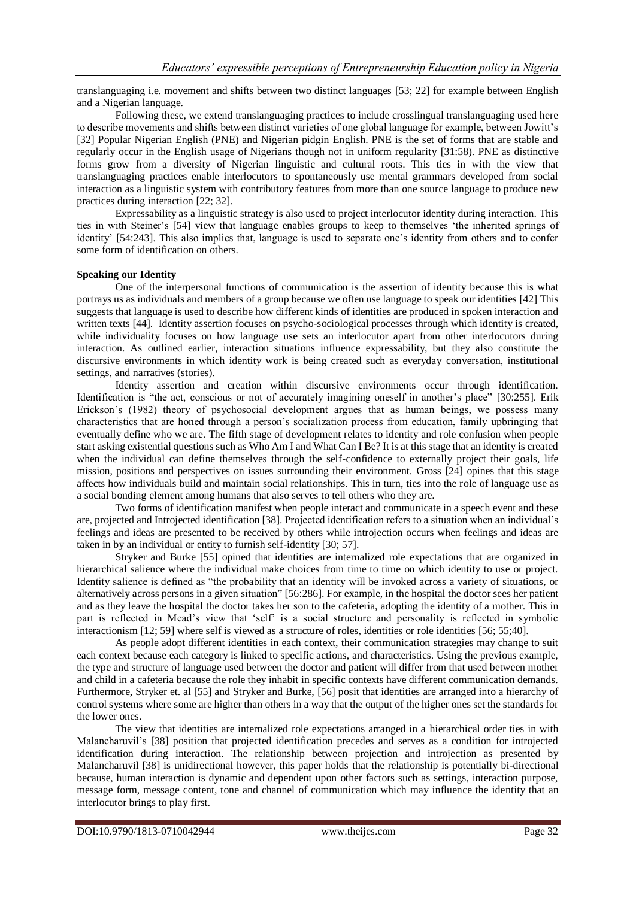translanguaging i.e. movement and shifts between two distinct languages [53; 22] for example between English and a Nigerian language.

Following these, we extend translanguaging practices to include crosslingual translanguaging used here to describe movements and shifts between distinct varieties of one global language for example, between Jowitt's [32] Popular Nigerian English (PNE) and Nigerian pidgin English. PNE is the set of forms that are stable and regularly occur in the English usage of Nigerians though not in uniform regularity [31:58). PNE as distinctive forms grow from a diversity of Nigerian linguistic and cultural roots. This ties in with the view that translanguaging practices enable interlocutors to spontaneously use mental grammars developed from social interaction as a linguistic system with contributory features from more than one source language to produce new practices during interaction [22; 32].

Expressability as a linguistic strategy is also used to project interlocutor identity during interaction. This ties in with Steiner's [54] view that language enables groups to keep to themselves 'the inherited springs of identity' [54:243]. This also implies that, language is used to separate one's identity from others and to confer some form of identification on others.

#### **Speaking our Identity**

One of the interpersonal functions of communication is the assertion of identity because this is what portrays us as individuals and members of a group because we often use language to speak our identities [42] This suggests that language is used to describe how different kinds of identities are produced in spoken interaction and written texts [44]. Identity assertion focuses on psycho-sociological processes through which identity is created, while individuality focuses on how language use sets an interlocutor apart from other interlocutors during interaction. As outlined earlier, interaction situations influence expressability, but they also constitute the discursive environments in which identity work is being created such as everyday conversation, institutional settings, and narratives (stories).

Identity assertion and creation within discursive environments occur through identification. Identification is "the act, conscious or not of accurately imagining oneself in another's place" [30:255]. Erik Erickson's (1982) theory of psychosocial development argues that as human beings, we possess many characteristics that are honed through a person's socialization process from education, family upbringing that eventually define who we are. The fifth stage of development relates to identity and role confusion when people start asking existential questions such as Who Am I and What Can I Be? It is at this stage that an identity is created when the individual can define themselves through the self-confidence to externally project their goals, life mission, positions and perspectives on issues surrounding their environment. Gross [24] opines that this stage affects how individuals build and maintain social relationships. This in turn, ties into the role of language use as a social bonding element among humans that also serves to tell others who they are.

Two forms of identification manifest when people interact and communicate in a speech event and these are, projected and Introjected identification [38]. Projected identification refers to a situation when an individual's feelings and ideas are presented to be received by others while introjection occurs when feelings and ideas are taken in by an individual or entity to furnish self-identity [30; 57].

Stryker and Burke [55] opined that identities are internalized role expectations that are organized in hierarchical salience where the individual make choices from time to time on which identity to use or project. Identity salience is defined as "the probability that an identity will be invoked across a variety of situations, or alternatively across persons in a given situation" [56:286]. For example, in the hospital the doctor sees her patient and as they leave the hospital the doctor takes her son to the cafeteria, adopting the identity of a mother. This in part is reflected in Mead's view that 'self' is a social structure and personality is reflected in symbolic interactionism [12; 59] where self is viewed as a structure of roles, identities or role identities [56; 55;40].

As people adopt different identities in each context, their communication strategies may change to suit each context because each category is linked to specific actions, and characteristics. Using the previous example, the type and structure of language used between the doctor and patient will differ from that used between mother and child in a cafeteria because the role they inhabit in specific contexts have different communication demands. Furthermore, Stryker et. al [55] and Stryker and Burke, [56] posit that identities are arranged into a hierarchy of control systems where some are higher than others in a way that the output of the higher ones set the standards for the lower ones.

The view that identities are internalized role expectations arranged in a hierarchical order ties in with Malancharuvil's [38] position that projected identification precedes and serves as a condition for introjected identification during interaction. The relationship between projection and introjection as presented by Malancharuvil [38] is unidirectional however, this paper holds that the relationship is potentially bi-directional because, human interaction is dynamic and dependent upon other factors such as settings, interaction purpose, message form, message content, tone and channel of communication which may influence the identity that an interlocutor brings to play first.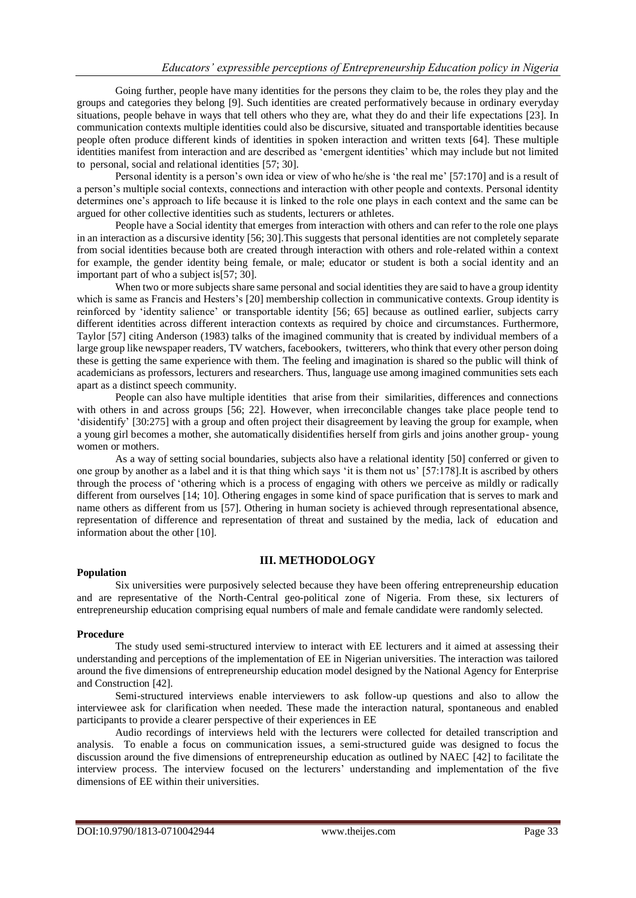Going further, people have many identities for the persons they claim to be, the roles they play and the groups and categories they belong [9]. Such identities are created performatively because in ordinary everyday situations, people behave in ways that tell others who they are, what they do and their life expectations [23]. In communication contexts multiple identities could also be discursive, situated and transportable identities because people often produce different kinds of identities in spoken interaction and written texts [64]. These multiple identities manifest from interaction and are described as 'emergent identities' which may include but not limited to personal, social and relational identities [57; 30].

Personal identity is a person's own idea or view of who he/she is 'the real me' [57:170] and is a result of a person's multiple social contexts, connections and interaction with other people and contexts. Personal identity determines one's approach to life because it is linked to the role one plays in each context and the same can be argued for other collective identities such as students, lecturers or athletes.

People have a Social identity that emerges from interaction with others and can refer to the role one plays in an interaction as a discursive identity [56; 30].This suggests that personal identities are not completely separate from social identities because both are created through interaction with others and role-related within a context for example, the gender identity being female, or male; educator or student is both a social identity and an important part of who a subject is[57; 30].

When two or more subjects share same personal and social identities they are said to have a group identity which is same as Francis and Hesters's [20] membership collection in communicative contexts. Group identity is reinforced by 'identity salience' or transportable identity [56; 65] because as outlined earlier, subjects carry different identities across different interaction contexts as required by choice and circumstances. Furthermore, Taylor [57] citing Anderson (1983) talks of the imagined community that is created by individual members of a large group like newspaper readers, TV watchers, facebookers, twitterers, who think that every other person doing these is getting the same experience with them. The feeling and imagination is shared so the public will think of academicians as professors, lecturers and researchers. Thus, language use among imagined communities sets each apart as a distinct speech community.

People can also have multiple identities that arise from their similarities, differences and connections with others in and across groups [56; 22]. However, when irreconcilable changes take place people tend to 'disidentify' [30:275] with a group and often project their disagreement by leaving the group for example, when a young girl becomes a mother, she automatically disidentifies herself from girls and joins another group- young women or mothers.

As a way of setting social boundaries, subjects also have a relational identity [50] conferred or given to one group by another as a label and it is that thing which says 'it is them not us' [57:178].It is ascribed by others through the process of 'othering which is a process of engaging with others we perceive as mildly or radically different from ourselves [14; 10]. Othering engages in some kind of space purification that is serves to mark and name others as different from us [57]. Othering in human society is achieved through representational absence, representation of difference and representation of threat and sustained by the media, lack of education and information about the other [10].

# **III. METHODOLOGY**

#### **Population**

Six universities were purposively selected because they have been offering entrepreneurship education and are representative of the North-Central geo-political zone of Nigeria. From these, six lecturers of entrepreneurship education comprising equal numbers of male and female candidate were randomly selected.

# **Procedure**

The study used semi-structured interview to interact with EE lecturers and it aimed at assessing their understanding and perceptions of the implementation of EE in Nigerian universities. The interaction was tailored around the five dimensions of entrepreneurship education model designed by the National Agency for Enterprise and Construction [42].

Semi-structured interviews enable interviewers to ask follow-up questions and also to allow the interviewee ask for clarification when needed. These made the interaction natural, spontaneous and enabled participants to provide a clearer perspective of their experiences in EE

Audio recordings of interviews held with the lecturers were collected for detailed transcription and analysis. To enable a focus on communication issues, a semi-structured guide was designed to focus the discussion around the five dimensions of entrepreneurship education as outlined by NAEC [42] to facilitate the interview process. The interview focused on the lecturers' understanding and implementation of the five dimensions of EE within their universities.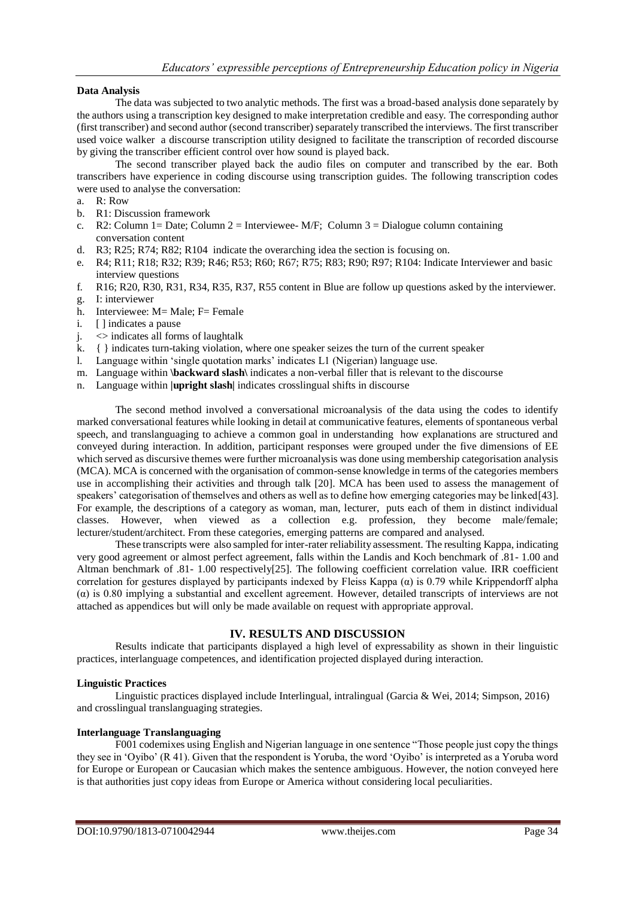#### **Data Analysis**

The data was subjected to two analytic methods. The first was a broad-based analysis done separately by the authors using a transcription key designed to make interpretation credible and easy. The corresponding author (first transcriber) and second author (second transcriber) separately transcribed the interviews. The first transcriber used voice walker a discourse transcription utility designed to facilitate the transcription of recorded discourse by giving the transcriber efficient control over how sound is played back.

The second transcriber played back the audio files on computer and transcribed by the ear. Both transcribers have experience in coding discourse using transcription guides. The following transcription codes were used to analyse the conversation:

- a. R: Row
- b. R1: Discussion framework
- c. R2: Column 1= Date; Column 2 = Interviewee- M/F; Column 3 = Dialogue column containing conversation content
- d. R3; R25; R74; R82; R104 indicate the overarching idea the section is focusing on.
- e. R4; R11; R18; R32; R39; R46; R53; R60; R67; R75; R83; R90; R97; R104: Indicate Interviewer and basic interview questions
- f. R16; R20, R30, R31, R34, R35, R37, R55 content in Blue are follow up questions asked by the interviewer.
- g. I: interviewer
- h. Interviewee: M= Male; F= Female
- i. [ ] indicates a pause
- j. <> indicates all forms of laughtalk
- k. { } indicates turn-taking violation, where one speaker seizes the turn of the current speaker
- l. Language within 'single quotation marks' indicates L1 (Nigerian) language use.
- m. Language within **\backward slash\** indicates a non-verbal filler that is relevant to the discourse
- n. Language within **|upright slash|** indicates crosslingual shifts in discourse

The second method involved a conversational microanalysis of the data using the codes to identify marked conversational features while looking in detail at communicative features, elements of spontaneous verbal speech, and translanguaging to achieve a common goal in understanding how explanations are structured and conveyed during interaction. In addition, participant responses were grouped under the five dimensions of EE which served as discursive themes were further microanalysis was done using membership categorisation analysis (MCA). MCA is concerned with the organisation of common-sense knowledge in terms of the categories members use in accomplishing their activities and through talk [20]. MCA has been used to assess the management of speakers' categorisation of themselves and others as well as to define how emerging categories may be linked[43]. For example, the descriptions of a category as woman, man, lecturer, puts each of them in distinct individual classes. However, when viewed as a collection e.g. profession, they become male/female; lecturer/student/architect. From these categories, emerging patterns are compared and analysed.

These transcripts were also sampled for inter-rater reliability assessment. The resulting Kappa, indicating very good agreement or almost perfect agreement, falls within the Landis and Koch benchmark of .81- 1.00 and Altman benchmark of .81- 1.00 respectively[25]. The following coefficient correlation value. IRR coefficient correlation for gestures displayed by participants indexed by Fleiss Kappa  $(\alpha)$  is 0.79 while Krippendorff alpha (α) is 0.80 implying a substantial and excellent agreement. However, detailed transcripts of interviews are not attached as appendices but will only be made available on request with appropriate approval.

# **IV. RESULTS AND DISCUSSION**

Results indicate that participants displayed a high level of expressability as shown in their linguistic practices, interlanguage competences, and identification projected displayed during interaction.

# **Linguistic Practices**

Linguistic practices displayed include Interlingual, intralingual (Garcia & Wei, 2014; Simpson, 2016) and crosslingual translanguaging strategies.

# **Interlanguage Translanguaging**

F001 codemixes using English and Nigerian language in one sentence "Those people just copy the things they see in 'Oyibo' (R 41). Given that the respondent is Yoruba, the word 'Oyibo' is interpreted as a Yoruba word for Europe or European or Caucasian which makes the sentence ambiguous. However, the notion conveyed here is that authorities just copy ideas from Europe or America without considering local peculiarities.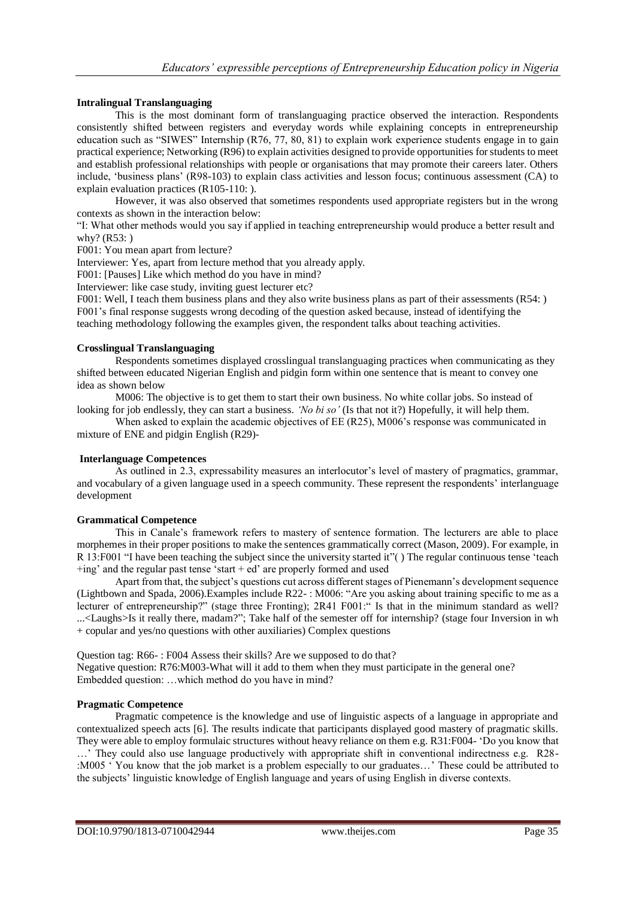### **Intralingual Translanguaging**

This is the most dominant form of translanguaging practice observed the interaction. Respondents consistently shifted between registers and everyday words while explaining concepts in entrepreneurship education such as "SIWES" Internship (R76, 77, 80, 81) to explain work experience students engage in to gain practical experience; Networking (R96) to explain activities designed to provide opportunities for students to meet and establish professional relationships with people or organisations that may promote their careers later. Others include, 'business plans' (R98-103) to explain class activities and lesson focus; continuous assessment (CA) to explain evaluation practices (R105-110: ).

However, it was also observed that sometimes respondents used appropriate registers but in the wrong contexts as shown in the interaction below:

"I: What other methods would you say if applied in teaching entrepreneurship would produce a better result and why? (R53: )

F001: You mean apart from lecture?

Interviewer: Yes, apart from lecture method that you already apply.

F001: [Pauses] Like which method do you have in mind?

Interviewer: like case study, inviting guest lecturer etc?

F001: Well, I teach them business plans and they also write business plans as part of their assessments (R54: ) F001's final response suggests wrong decoding of the question asked because, instead of identifying the teaching methodology following the examples given, the respondent talks about teaching activities.

#### **Crosslingual Translanguaging**

Respondents sometimes displayed crosslingual translanguaging practices when communicating as they shifted between educated Nigerian English and pidgin form within one sentence that is meant to convey one idea as shown below

M006: The objective is to get them to start their own business. No white collar jobs. So instead of looking for job endlessly, they can start a business. *'No bi so'* (Is that not it?) Hopefully, it will help them.

When asked to explain the academic objectives of EE (R25), M006's response was communicated in mixture of ENE and pidgin English (R29)-

#### **Interlanguage Competences**

As outlined in 2.3, expressability measures an interlocutor's level of mastery of pragmatics, grammar, and vocabulary of a given language used in a speech community. These represent the respondents' interlanguage development

### **Grammatical Competence**

This in Canale's framework refers to mastery of sentence formation. The lecturers are able to place morphemes in their proper positions to make the sentences grammatically correct (Mason, 2009). For example, in R 13:F001 "I have been teaching the subject since the university started it"( ) The regular continuous tense 'teach  $+$ ing' and the regular past tense 'start  $+$  ed' are properly formed and used

Apart from that, the subject's questions cut across different stages of Pienemann's development sequence (Lightbown and Spada, 2006).Examples include R22- : M006: "Are you asking about training specific to me as a lecturer of entrepreneurship?" (stage three Fronting); 2R41 F001:" Is that in the minimum standard as well? ...<Laughs>Is it really there, madam?"; Take half of the semester off for internship? (stage four Inversion in wh + copular and yes/no questions with other auxiliaries) Complex questions

Question tag: R66- : F004 Assess their skills? Are we supposed to do that? Negative question: R76:M003-What will it add to them when they must participate in the general one? Embedded question: …which method do you have in mind?

#### **Pragmatic Competence**

Pragmatic competence is the knowledge and use of linguistic aspects of a language in appropriate and contextualized speech acts [6]. The results indicate that participants displayed good mastery of pragmatic skills. They were able to employ formulaic structures without heavy reliance on them e.g. R31:F004- 'Do you know that …' They could also use language productively with appropriate shift in conventional indirectness e.g. R28- :M005 ' You know that the job market is a problem especially to our graduates…' These could be attributed to the subjects' linguistic knowledge of English language and years of using English in diverse contexts.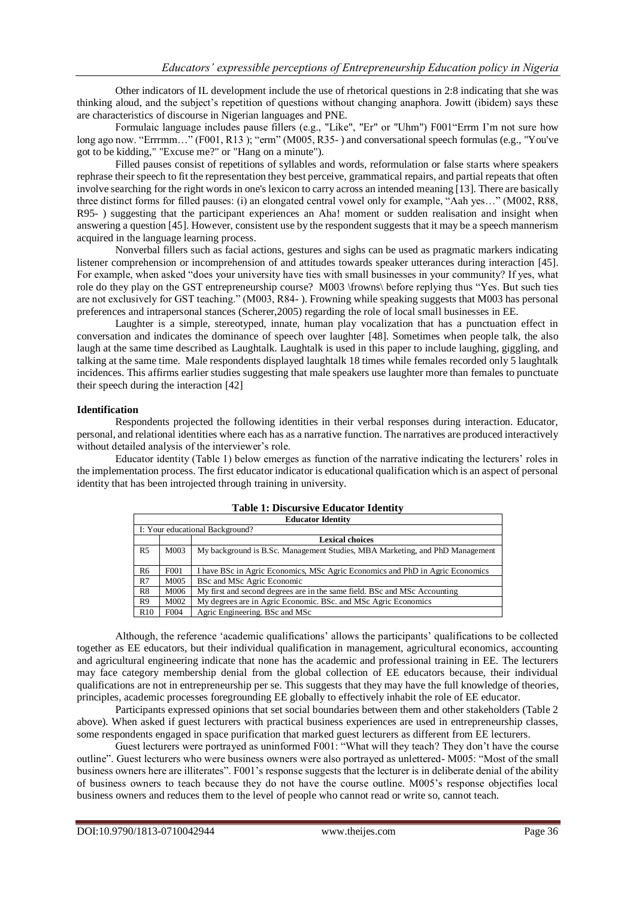Other indicators of IL development include the use of rhetorical questions in 2:8 indicating that she was thinking aloud, and the subject's repetition of questions without changing anaphora. Jowitt (ibidem) says these are characteristics of discourse in Nigerian languages and PNE.

Formulaic language includes pause fillers (e.g., "Like", "Er" or "Uhm") F001"Errm I'm not sure how long ago now. "Errrmm..." (F001, R13); "erm" (M005, R35-) and conversational speech formulas (e.g., "You've got to be kidding," "Excuse me?" or "Hang on a minute").

Filled pauses consist of repetitions of syllables and words, reformulation or false starts where speakers rephrase their speech to fit the representation they best perceive, grammatical repairs, and partial repeats that often involve searching for the right words in one's lexicon to carry across an intended meaning [13]. There are basically three distinct forms for filled pauses: (i) an elongated central vowel only for example, "Aah yes…" (M002, R88, R95- ) suggesting that the participant experiences an Aha! moment or sudden realisation and insight when answering a question [45]. However, consistent use by the respondent suggests that it may be a speech mannerism acquired in the language learning process.

Nonverbal fillers such as facial actions, gestures and sighs can be used as pragmatic markers indicating listener comprehension or incomprehension of and attitudes towards speaker utterances during interaction [45]. For example, when asked "does your university have ties with small businesses in your community? If yes, what role do they play on the GST entrepreneurship course? M003 \frowns\ before replying thus "Yes. But such ties are not exclusively for GST teaching." (M003, R84- ). Frowning while speaking suggests that M003 has personal preferences and intrapersonal stances (Scherer,2005) regarding the role of local small businesses in EE.

Laughter is a simple, stereotyped, innate, human play vocalization that has a punctuation effect in conversation and indicates the dominance of speech over laughter [48]. Sometimes when people talk, the also laugh at the same time described as Laughtalk. Laughtalk is used in this paper to include laughing, giggling, and talking at the same time. Male respondents displayed laughtalk 18 times while females recorded only 5 laughtalk incidences. This affirms earlier studies suggesting that male speakers use laughter more than females to punctuate their speech during the interaction [42]

#### **Identification**

Respondents projected the following identities in their verbal responses during interaction. Educator, personal, and relational identities where each has as a narrative function. The narratives are produced interactively without detailed analysis of the interviewer's role.

Educator identity (Table 1) below emerges as function of the narrative indicating the lecturers' roles in the implementation process. The first educator indicator is educational qualification which is an aspect of personal identity that has been introjected through training in university.

| <b>Table 1: Discursive Educator Identity</b> |                  |                                                                               |  |  |
|----------------------------------------------|------------------|-------------------------------------------------------------------------------|--|--|
| <b>Educator Identity</b>                     |                  |                                                                               |  |  |
| I: Your educational Background?              |                  |                                                                               |  |  |
|                                              |                  | <b>Lexical choices</b>                                                        |  |  |
| R <sub>5</sub>                               | M003             | My background is B.Sc. Management Studies, MBA Marketing, and PhD Management  |  |  |
| R <sub>6</sub>                               | F <sub>001</sub> | I have BSc in Agric Economics, MSc Agric Economics and PhD in Agric Economics |  |  |
| R7                                           | M005             | BSc and MSc Agric Economic                                                    |  |  |
| R8                                           | M006             | My first and second degrees are in the same field. BSc and MSc Accounting     |  |  |
| R <sub>9</sub>                               | M002             | My degrees are in Agric Economic. BSc. and MSc Agric Economics                |  |  |
| R10                                          | F004             | Agric Engineering. BSc and MSc                                                |  |  |

# Although, the reference 'academic qualifications' allows the participants' qualifications to be collected together as EE educators, but their individual qualification in management, agricultural economics, accounting and agricultural engineering indicate that none has the academic and professional training in EE. The lecturers may face category membership denial from the global collection of EE educators because, their individual qualifications are not in entrepreneurship per se. This suggests that they may have the full knowledge of theories,

principles, academic processes foregrounding EE globally to effectively inhabit the role of EE educator. Participants expressed opinions that set social boundaries between them and other stakeholders (Table 2 above). When asked if guest lecturers with practical business experiences are used in entrepreneurship classes, some respondents engaged in space purification that marked guest lecturers as different from EE lecturers.

Guest lecturers were portrayed as uninformed F001: "What will they teach? They don't have the course outline". Guest lecturers who were business owners were also portrayed as unlettered- M005: "Most of the small business owners here are illiterates". F001's response suggests that the lecturer is in deliberate denial of the ability of business owners to teach because they do not have the course outline. M005's response objectifies local business owners and reduces them to the level of people who cannot read or write so, cannot teach.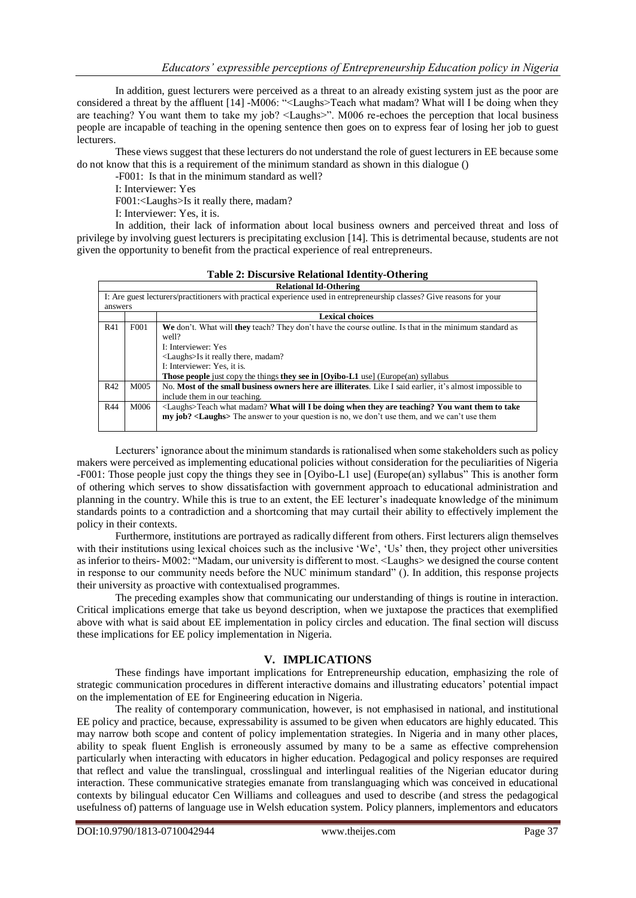In addition, guest lecturers were perceived as a threat to an already existing system just as the poor are considered a threat by the affluent [14] -M006: "<Laughs>Teach what madam? What will I be doing when they are teaching? You want them to take my job? <Laughs>". M006 re-echoes the perception that local business people are incapable of teaching in the opening sentence then goes on to express fear of losing her job to guest lecturers.

These views suggest that these lecturers do not understand the role of guest lecturers in EE because some do not know that this is a requirement of the minimum standard as shown in this dialogue ()

-F001: Is that in the minimum standard as well?

I: Interviewer: Yes

F001:<Laughs>Is it really there, madam?

I: Interviewer: Yes, it is.

In addition, their lack of information about local business owners and perceived threat and loss of privilege by involving guest lecturers is precipitating exclusion [14]. This is detrimental because, students are not given the opportunity to benefit from the practical experience of real entrepreneurs.

**Table 2: Discursive Relational Identity-Othering**

| <b>Relational Id-Othering</b>                                                                                          |                   |                                                                                                            |  |
|------------------------------------------------------------------------------------------------------------------------|-------------------|------------------------------------------------------------------------------------------------------------|--|
| I: Are guest lecturers/practitioners with practical experience used in entrepreneurship classes? Give reasons for your |                   |                                                                                                            |  |
| answers                                                                                                                |                   |                                                                                                            |  |
|                                                                                                                        |                   | Lexical choices                                                                                            |  |
| R41                                                                                                                    | F <sub>0</sub> 01 | We don't. What will they teach? They don't have the course outline. Is that in the minimum standard as     |  |
|                                                                                                                        |                   | well?                                                                                                      |  |
|                                                                                                                        |                   | I: Interviewer: Yes                                                                                        |  |
|                                                                                                                        |                   | <laughs>Is it really there, madam?</laughs>                                                                |  |
|                                                                                                                        |                   | I: Interviewer: Yes. it is.                                                                                |  |
|                                                                                                                        |                   | <b>Those people</b> just copy the things <b>they see in [Oyibo-L1</b> use] (Europe(an) syllabus            |  |
| R42                                                                                                                    | M005              | No. Most of the small business owners here are illiterates. Like I said earlier, it's almost impossible to |  |
|                                                                                                                        |                   | include them in our teaching.                                                                              |  |
| <b>R44</b>                                                                                                             | M006              | <laughs>Teach what madam? What will I be doing when they are teaching? You want them to take</laughs>      |  |
|                                                                                                                        |                   | my job? <laughs> The answer to your question is no, we don't use them, and we can't use them</laughs>      |  |
|                                                                                                                        |                   |                                                                                                            |  |

Lecturers' ignorance about the minimum standards is rationalised when some stakeholders such as policy makers were perceived as implementing educational policies without consideration for the peculiarities of Nigeria -F001: Those people just copy the things they see in [Oyibo-L1 use] (Europe(an) syllabus" This is another form of othering which serves to show dissatisfaction with government approach to educational administration and planning in the country. While this is true to an extent, the EE lecturer's inadequate knowledge of the minimum standards points to a contradiction and a shortcoming that may curtail their ability to effectively implement the policy in their contexts.

Furthermore, institutions are portrayed as radically different from others. First lecturers align themselves with their institutions using lexical choices such as the inclusive 'We', 'Us' then, they project other universities as inferior to theirs- M002: "Madam, our university is different to most. <Laughs> we designed the course content in response to our community needs before the NUC minimum standard" (). In addition, this response projects their university as proactive with contextualised programmes.

The preceding examples show that communicating our understanding of things is routine in interaction. Critical implications emerge that take us beyond description, when we juxtapose the practices that exemplified above with what is said about EE implementation in policy circles and education. The final section will discuss these implications for EE policy implementation in Nigeria.

# **V. IMPLICATIONS**

These findings have important implications for Entrepreneurship education, emphasizing the role of strategic communication procedures in different interactive domains and illustrating educators' potential impact on the implementation of EE for Engineering education in Nigeria.

The reality of contemporary communication, however, is not emphasised in national, and institutional EE policy and practice, because, expressability is assumed to be given when educators are highly educated. This may narrow both scope and content of policy implementation strategies. In Nigeria and in many other places, ability to speak fluent English is erroneously assumed by many to be a same as effective comprehension particularly when interacting with educators in higher education. Pedagogical and policy responses are required that reflect and value the translingual, crosslingual and interlingual realities of the Nigerian educator during interaction. These communicative strategies emanate from translanguaging which was conceived in educational contexts by bilingual educator Cen Williams and colleagues and used to describe (and stress the pedagogical usefulness of) patterns of language use in Welsh education system. Policy planners, implementors and educators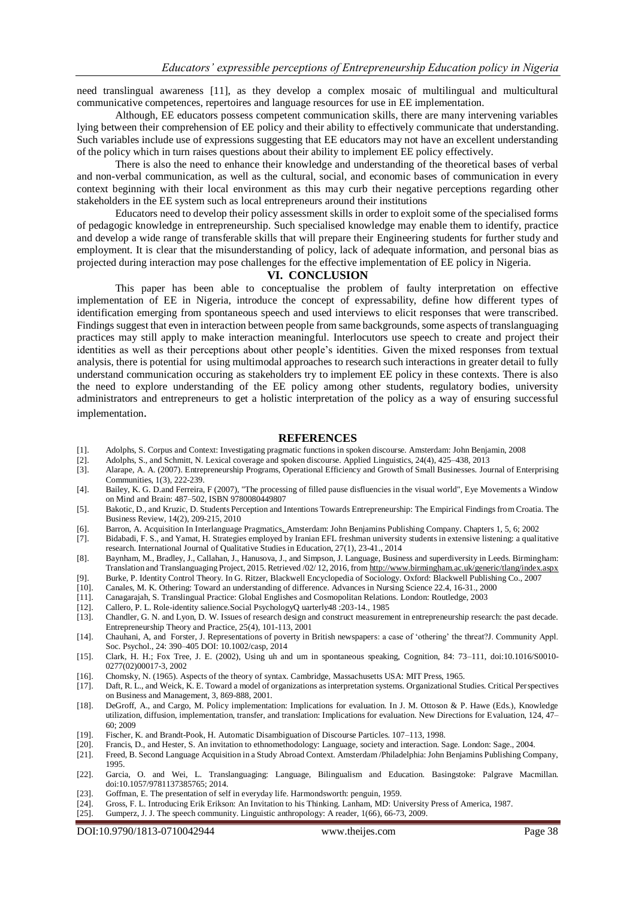need translingual awareness [11], as they develop a complex mosaic of multilingual and multicultural communicative competences, repertoires and language resources for use in EE implementation.

Although, EE educators possess competent communication skills, there are many intervening variables lying between their comprehension of EE policy and their ability to effectively communicate that understanding. Such variables include use of expressions suggesting that EE educators may not have an excellent understanding of the policy which in turn raises questions about their ability to implement EE policy effectively.

There is also the need to enhance their knowledge and understanding of the theoretical bases of verbal and non-verbal communication, as well as the cultural, social, and economic bases of communication in every context beginning with their local environment as this may curb their negative perceptions regarding other stakeholders in the EE system such as local entrepreneurs around their institutions

Educators need to develop their policy assessment skills in order to exploit some of the specialised forms of pedagogic knowledge in entrepreneurship. Such specialised knowledge may enable them to identify, practice and develop a wide range of transferable skills that will prepare their Engineering students for further study and employment. It is clear that the misunderstanding of policy, lack of adequate information, and personal bias as projected during interaction may pose challenges for the effective implementation of EE policy in Nigeria.

#### **VI. CONCLUSION**

This paper has been able to conceptualise the problem of faulty interpretation on effective implementation of EE in Nigeria, introduce the concept of expressability, define how different types of identification emerging from spontaneous speech and used interviews to elicit responses that were transcribed. Findings suggest that even in interaction between people from same backgrounds, some aspects of translanguaging practices may still apply to make interaction meaningful. Interlocutors use speech to create and project their identities as well as their perceptions about other people's identities. Given the mixed responses from textual analysis, there is potential for using multimodal approaches to research such interactions in greater detail to fully understand communication occuring as stakeholders try to implement EE policy in these contexts. There is also the need to explore understanding of the EE policy among other students, regulatory bodies, university administrators and entrepreneurs to get a holistic interpretation of the policy as a way of ensuring successful implementation.

#### **REFERENCES**

- [1]. Adolphs, S. Corpus and Context: Investigating pragmatic functions in spoken discourse. Amsterdam: John Benjamin, 2008
- [2]. Adolphs, S., and Schmitt, N. Lexical coverage and spoken discourse. Applied Linguistics, 24(4), 425–438, 2013
- [3]. Alarape, A. A. (2007). Entrepreneurship Programs, Operational Efficiency and Growth of Small Businesses. Journal of Enterprising Communities, 1(3), 222-239.
- [4]. Bailey, K. G. D.and Ferreira, F (2007), "The processing of filled pause disfluencies in the visual world", Eye Movements a Window on Mind and Brain: 487–502, ISBN 9780080449807
- [5]. Bakotic, D., and Kruzic, D. Students Perception and Intentions Towards Entrepreneurship: The Empirical Findings from Croatia. The Business Review, 14(2), 209-215, 2010
- [6]. Barron, A. Acquisition In Interlanguage Pragmatics. Amsterdam: John Benjamins Publishing Company. Chapters 1, 5, 6; 2002
- [7]. Bidabadi, F. S., and Yamat, H. Strategies employed by Iranian EFL freshman university students in extensive listening: a qualitative research. International Journal of Qualitative Studies in Education, 27(1), 23-41., 2014
- [8]. Baynham, M., Bradley, J., Callahan, J., Hanusova, J., and Simpson, J. Language, Business and superdiversity in Leeds. Birmingham: Translation and Translanguaging Project, 2015. Retrieved /02/ 12, 2016, fro[m http://www.birmingham.ac.uk/generic/tlang/index.aspx](http://www.birmingham.ac.uk/generic/tlang/index.aspx)
- [9]. Burke, P. Identity Control Theory. In G. Ritzer, Blackwell Encyclopedia of Sociology. Oxford: Blackwell Publishing Co., 2007
- [10]. Canales, M. K. Othering: Toward an understanding of difference. Advances in Nursing Science 22.4, 16-31., 2000
- [11]. Canagarajah, S. Translingual Practice: Global Englishes and Cosmopolitan Relations. London: Routledge, 2003
- [12]. Callero, P. L. Role-identity salience.Social PsychologyQ uarterly48 :203-14., 1985
- [13]. Chandler, G. N. and Lyon, D. W. Issues of research design and construct measurement in entrepreneurship research: the past decade. Entrepreneurship Theory and Practice, 25(4), 101-113, 2001
- [14]. Chauhani, A, and Forster, J. Representations of poverty in British newspapers: a case of 'othering' the threat?J. Community Appl. Soc. Psychol., 24: 390–405 DOI: 10.1002/casp, 2014
- [15]. Clark, H. H.; Fox Tree, J. E. (2002), Using uh and um in spontaneous speaking, Cognition, 84: 73–111, doi:10.1016/S0010- 0277(02)00017-3, 2002
- [16]. Chomsky, N. (1965). Aspects of the theory of syntax. Cambridge, Massachusetts USA: MIT Press, 1965.<br>[17]. Daft, R. L., and Weick, K. E. Toward a model of organizations as interpretation systems. Organizational St
- [17]. Daft, R. L., and Weick, K. E. Toward a model of organizations as interpretation systems. Organizational Studies. Critical Perspectives on Business and Management, 3, 869-888, 2001.
- [18]. DeGroff, A., and Cargo, M. Policy implementation: Implications for evaluation. In J. M. Ottoson & P. Hawe (Eds.), Knowledge utilization, diffusion, implementation, transfer, and translation: Implications for evaluation. New Directions for Evaluation, 124, 47– 60; 2009
- [19]. Fischer, K. and Brandt-Pook, H. Automatic Disambiguation of Discourse Particles. 107–113, 1998.
- [20]. Francis, D., and Hester, S. An invitation to ethnomethodology: Language, society and interaction. Sage. London: Sage., 2004.
- [21]. Freed, B. Second Language Acquisition in a Study Abroad Context. Amsterdam /Philadelphia: John Benjamins Publishing Company, 1995.
- [22]. Garcia, O. and Wei, L. Translanguaging: Language, Bilingualism and Education. Basingstoke: Palgrave Macmillan. doi:10.1057/9781137385765; 2014.
- [23]. Goffman, E. The presentation of self in everyday life. Harmondsworth: penguin, 1959.
- [24]. Gross, F. L. Introducing Erik Erikson: An Invitation to his Thinking. Lanham, MD: University Press of America, 1987.
- [25]. Gumperz, J. J. The speech community. Linguistic anthropology: A reader, 1(66), 66-73, 2009.